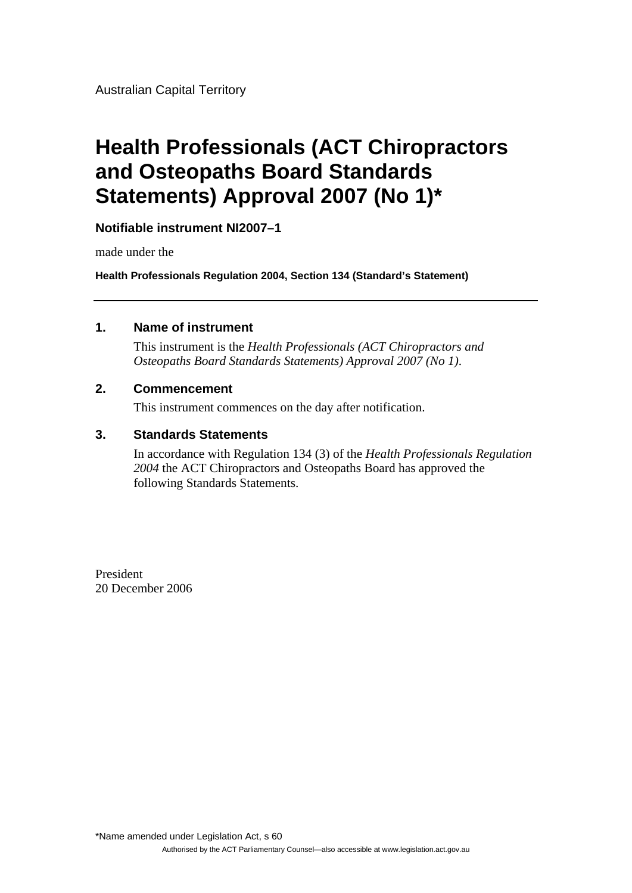Australian Capital Territory

## **Health Professionals (ACT Chiropractors and Osteopaths Board Standards Statements) Approval 2007 (No 1)\***

**Notifiable instrument NI2007–1**

made under the

**Health Professionals Regulation 2004, Section 134 (Standard's Statement)** 

#### **1. Name of instrument**

This instrument is the *Health Professionals (ACT Chiropractors and Osteopaths Board Standards Statements) Approval 2007 (No 1)*.

#### **2. Commencement**

This instrument commences on the day after notification.

#### **3. Standards Statements**

In accordance with Regulation 134 (3) of the *Health Professionals Regulation 2004* the ACT Chiropractors and Osteopaths Board has approved the following Standards Statements.

President 20 December 2006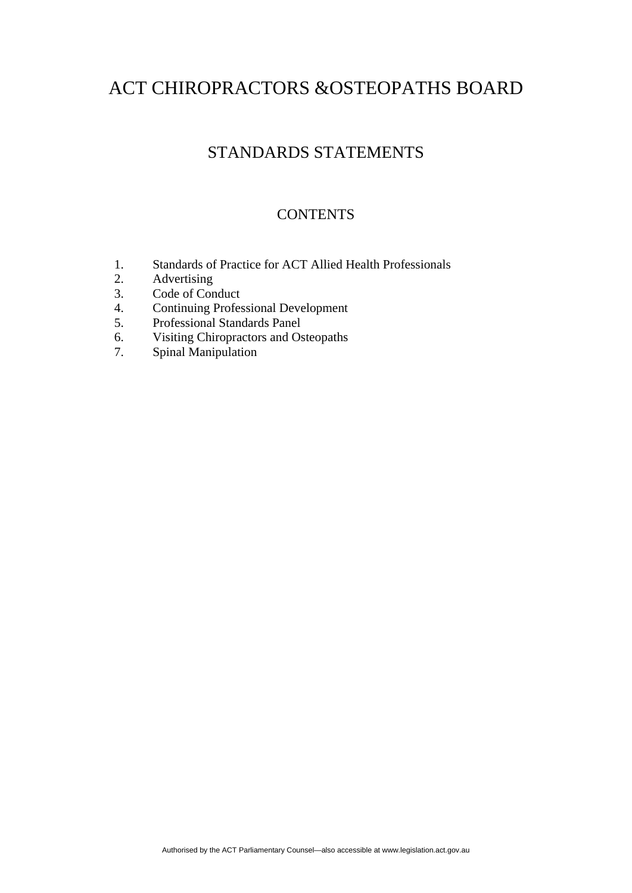## STANDARDS STATEMENTS

#### **CONTENTS**

- 1. Standards of Practice for ACT Allied Health Professionals
- 2. Advertising
- 3. Code of Conduct
- 4. Continuing Professional Development
- 5. Professional Standards Panel
- 6. Visiting Chiropractors and Osteopaths
- 7. Spinal Manipulation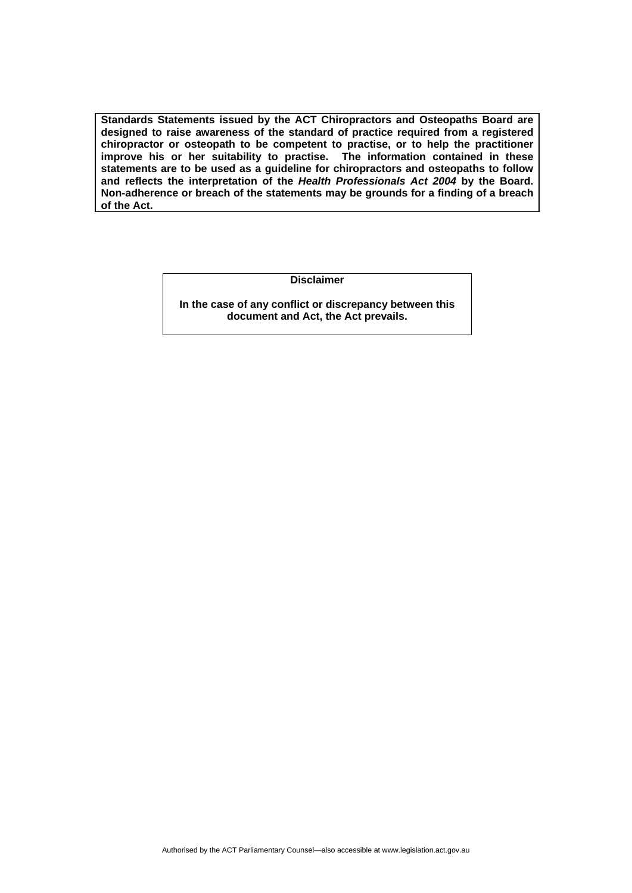**Standards Statements issued by the ACT Chiropractors and Osteopaths Board are designed to raise awareness of the standard of practice required from a registered chiropractor or osteopath to be competent to practise, or to help the practitioner improve his or her suitability to practise. The information contained in these statements are to be used as a guideline for chiropractors and osteopaths to follow and reflects the interpretation of the** *Health Professionals Act 2004* **by the Board. Non-adherence or breach of the statements may be grounds for a finding of a breach of the Act.** 

**Disclaimer** 

**In the case of any conflict or discrepancy between this document and Act, the Act prevails.**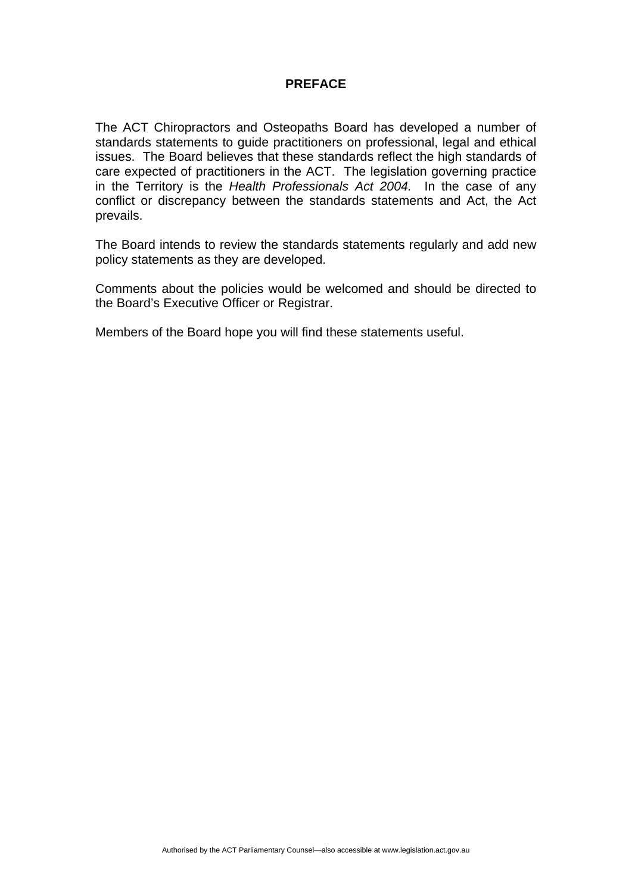#### **PREFACE**

The ACT Chiropractors and Osteopaths Board has developed a number of standards statements to guide practitioners on professional, legal and ethical issues. The Board believes that these standards reflect the high standards of care expected of practitioners in the ACT. The legislation governing practice in the Territory is the *Health Professionals Act 2004.* In the case of any conflict or discrepancy between the standards statements and Act, the Act prevails.

The Board intends to review the standards statements regularly and add new policy statements as they are developed.

Comments about the policies would be welcomed and should be directed to the Board's Executive Officer or Registrar.

Members of the Board hope you will find these statements useful.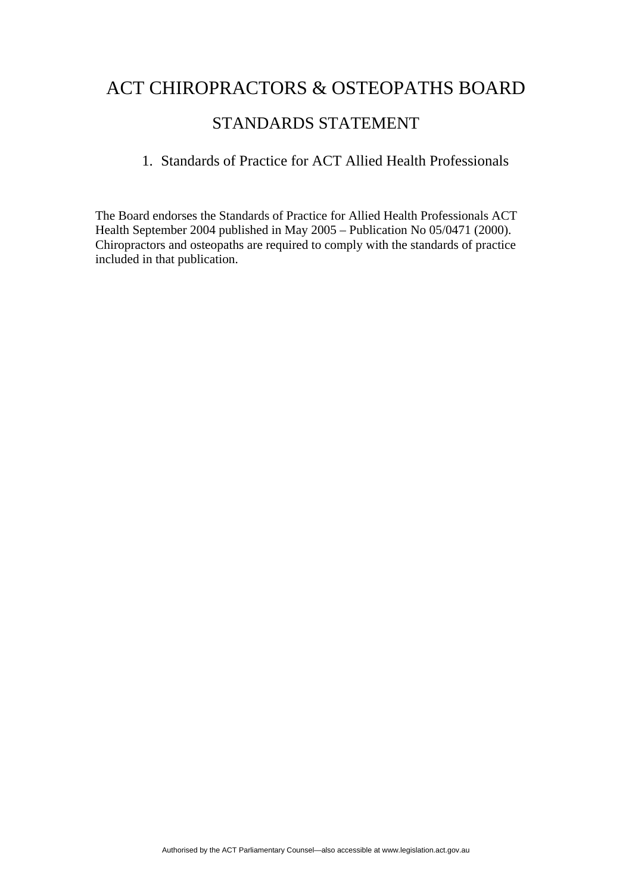## STANDARDS STATEMENT

### 1. Standards of Practice for ACT Allied Health Professionals

The Board endorses the Standards of Practice for Allied Health Professionals ACT Health September 2004 published in May 2005 – Publication No 05/0471 (2000). Chiropractors and osteopaths are required to comply with the standards of practice included in that publication.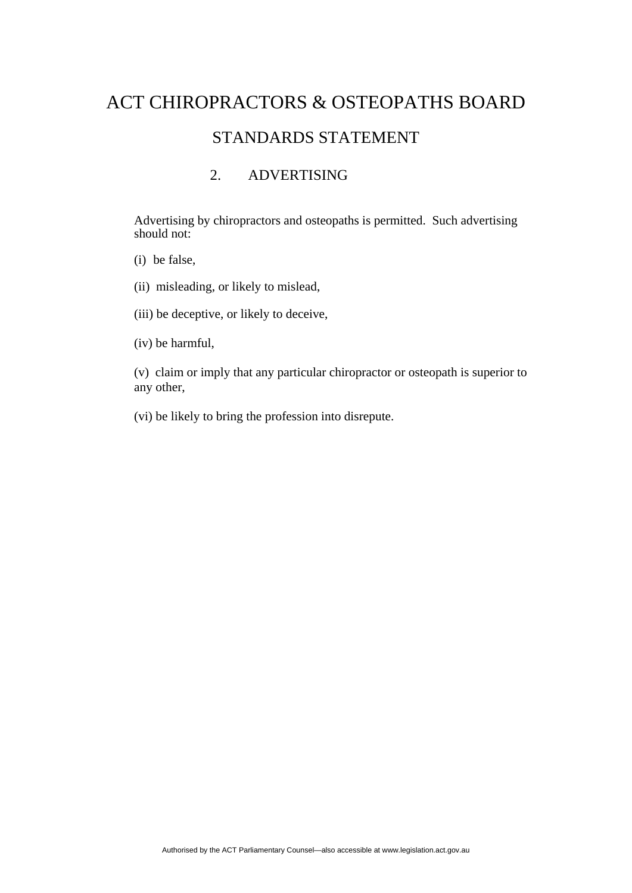# ACT CHIROPRACTORS & OSTEOPATHS BOARD STANDARDS STATEMENT

### 2. ADVERTISING

 Advertising by chiropractors and osteopaths is permitted. Such advertising should not:

(i) be false,

(ii) misleading, or likely to mislead,

(iii) be deceptive, or likely to deceive,

(iv) be harmful,

(v) claim or imply that any particular chiropractor or osteopath is superior to any other,

(vi) be likely to bring the profession into disrepute.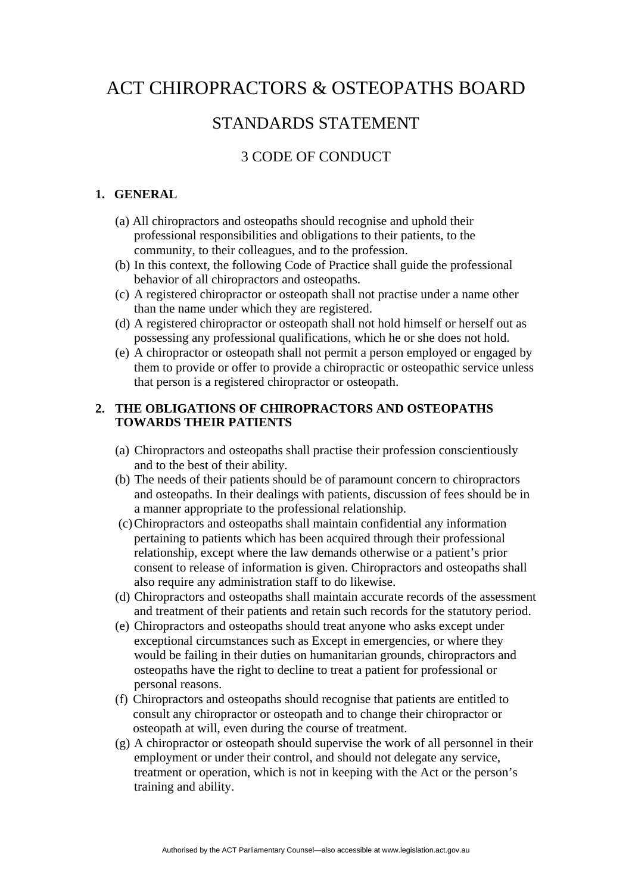## STANDARDS STATEMENT

### 3 CODE OF CONDUCT

#### **1. GENERAL**

- (a) All chiropractors and osteopaths should recognise and uphold their professional responsibilities and obligations to their patients, to the community, to their colleagues, and to the profession.
- (b) In this context, the following Code of Practice shall guide the professional behavior of all chiropractors and osteopaths.
- (c) A registered chiropractor or osteopath shall not practise under a name other than the name under which they are registered.
- (d) A registered chiropractor or osteopath shall not hold himself or herself out as possessing any professional qualifications, which he or she does not hold.
- (e) A chiropractor or osteopath shall not permit a person employed or engaged by them to provide or offer to provide a chiropractic or osteopathic service unless that person is a registered chiropractor or osteopath.

#### **2. THE OBLIGATIONS OF CHIROPRACTORS AND OSTEOPATHS TOWARDS THEIR PATIENTS**

- (a) Chiropractors and osteopaths shall practise their profession conscientiously and to the best of their ability.
- (b) The needs of their patients should be of paramount concern to chiropractors and osteopaths. In their dealings with patients, discussion of fees should be in a manner appropriate to the professional relationship.
- (c) Chiropractors and osteopaths shall maintain confidential any information pertaining to patients which has been acquired through their professional relationship, except where the law demands otherwise or a patient's prior consent to release of information is given. Chiropractors and osteopaths shall also require any administration staff to do likewise.
- (d) Chiropractors and osteopaths shall maintain accurate records of the assessment and treatment of their patients and retain such records for the statutory period.
- (e) Chiropractors and osteopaths should treat anyone who asks except under exceptional circumstances such as Except in emergencies, or where they would be failing in their duties on humanitarian grounds, chiropractors and osteopaths have the right to decline to treat a patient for professional or personal reasons.
- (f) Chiropractors and osteopaths should recognise that patients are entitled to consult any chiropractor or osteopath and to change their chiropractor or osteopath at will, even during the course of treatment.
- (g) A chiropractor or osteopath should supervise the work of all personnel in their employment or under their control, and should not delegate any service, treatment or operation, which is not in keeping with the Act or the person's training and ability.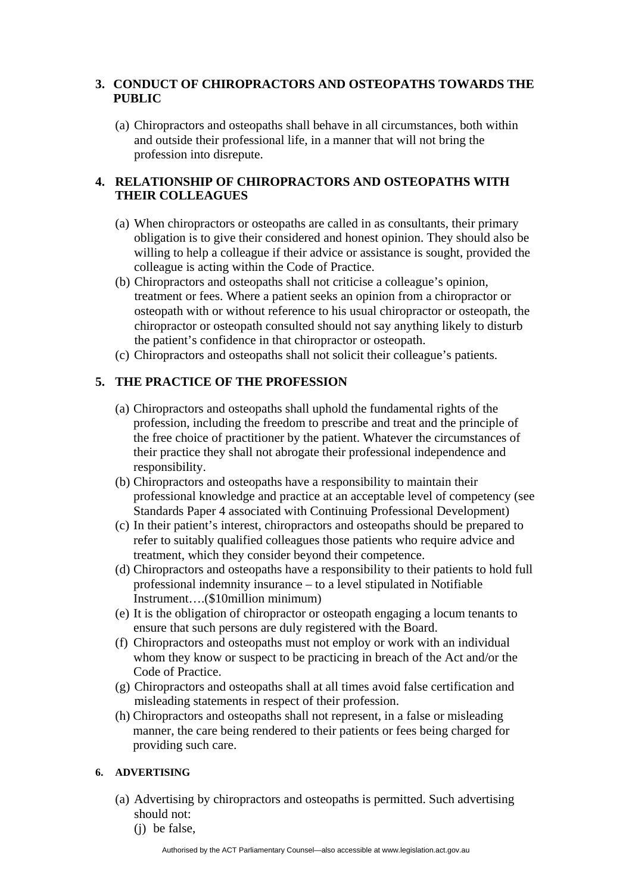#### **3. CONDUCT OF CHIROPRACTORS AND OSTEOPATHS TOWARDS THE PUBLIC**

(a) Chiropractors and osteopaths shall behave in all circumstances, both within and outside their professional life, in a manner that will not bring the profession into disrepute.

#### **4. RELATIONSHIP OF CHIROPRACTORS AND OSTEOPATHS WITH THEIR COLLEAGUES**

- (a) When chiropractors or osteopaths are called in as consultants, their primary obligation is to give their considered and honest opinion. They should also be willing to help a colleague if their advice or assistance is sought, provided the colleague is acting within the Code of Practice.
- (b) Chiropractors and osteopaths shall not criticise a colleague's opinion, treatment or fees. Where a patient seeks an opinion from a chiropractor or osteopath with or without reference to his usual chiropractor or osteopath, the chiropractor or osteopath consulted should not say anything likely to disturb the patient's confidence in that chiropractor or osteopath.
- (c) Chiropractors and osteopaths shall not solicit their colleague's patients.

#### **5. THE PRACTICE OF THE PROFESSION**

- (a) Chiropractors and osteopaths shall uphold the fundamental rights of the profession, including the freedom to prescribe and treat and the principle of the free choice of practitioner by the patient. Whatever the circumstances of their practice they shall not abrogate their professional independence and responsibility.
- (b) Chiropractors and osteopaths have a responsibility to maintain their professional knowledge and practice at an acceptable level of competency (see Standards Paper 4 associated with Continuing Professional Development)
- (c) In their patient's interest, chiropractors and osteopaths should be prepared to refer to suitably qualified colleagues those patients who require advice and treatment, which they consider beyond their competence.
- (d) Chiropractors and osteopaths have a responsibility to their patients to hold full professional indemnity insurance – to a level stipulated in Notifiable Instrument….(\$10million minimum)
- (e) It is the obligation of chiropractor or osteopath engaging a locum tenants to ensure that such persons are duly registered with the Board.
- (f) Chiropractors and osteopaths must not employ or work with an individual whom they know or suspect to be practicing in breach of the Act and/or the Code of Practice.
- (g) Chiropractors and osteopaths shall at all times avoid false certification and misleading statements in respect of their profession.
- (h) Chiropractors and osteopaths shall not represent, in a false or misleading manner, the care being rendered to their patients or fees being charged for providing such care.

#### **6. ADVERTISING**

- (a) Advertising by chiropractors and osteopaths is permitted. Such advertising should not:
	- (j) be false,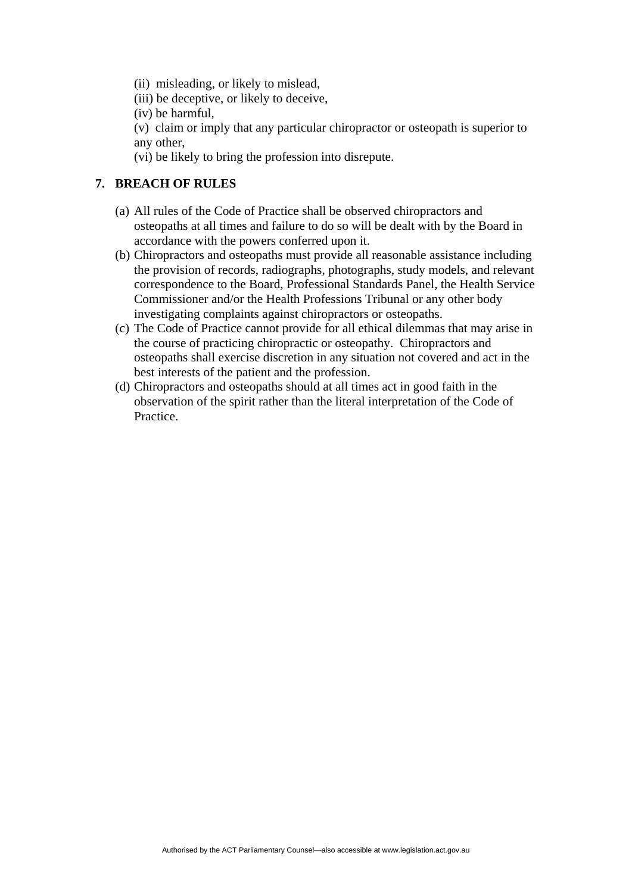- (ii) misleading, or likely to mislead,
- (iii) be deceptive, or likely to deceive,
- (iv) be harmful,
- (v) claim or imply that any particular chiropractor or osteopath is superior to any other,
- (vi) be likely to bring the profession into disrepute.

#### **7. BREACH OF RULES**

- (a) All rules of the Code of Practice shall be observed chiropractors and osteopaths at all times and failure to do so will be dealt with by the Board in accordance with the powers conferred upon it.
- (b) Chiropractors and osteopaths must provide all reasonable assistance including the provision of records, radiographs, photographs, study models, and relevant correspondence to the Board, Professional Standards Panel, the Health Service Commissioner and/or the Health Professions Tribunal or any other body investigating complaints against chiropractors or osteopaths.
- (c) The Code of Practice cannot provide for all ethical dilemmas that may arise in the course of practicing chiropractic or osteopathy. Chiropractors and osteopaths shall exercise discretion in any situation not covered and act in the best interests of the patient and the profession.
- (d) Chiropractors and osteopaths should at all times act in good faith in the observation of the spirit rather than the literal interpretation of the Code of Practice.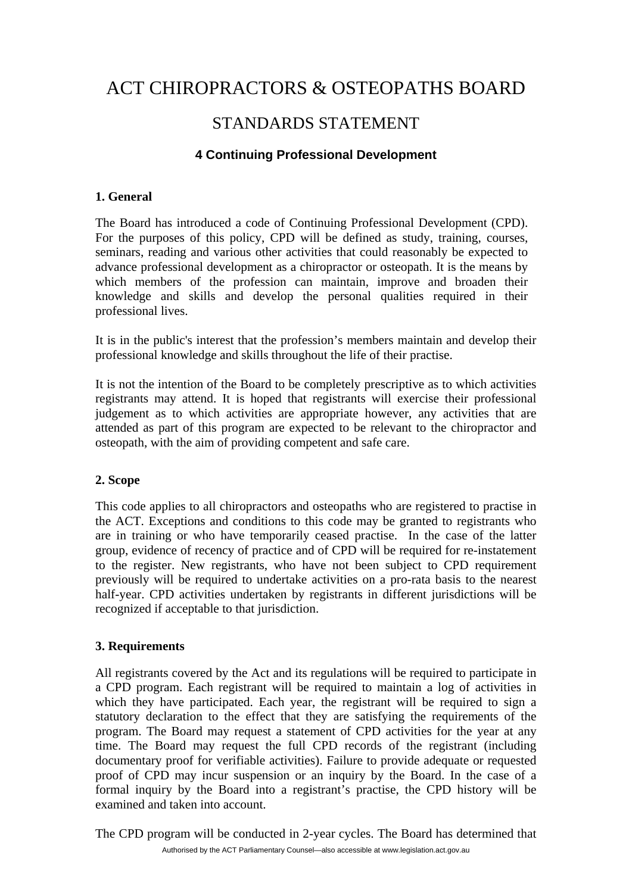## STANDARDS STATEMENT

#### **4 Continuing Professional Development**

#### **1. General**

The Board has introduced a code of Continuing Professional Development (CPD). For the purposes of this policy, CPD will be defined as study, training, courses, seminars, reading and various other activities that could reasonably be expected to advance professional development as a chiropractor or osteopath. It is the means by which members of the profession can maintain, improve and broaden their knowledge and skills and develop the personal qualities required in their professional lives.

It is in the public's interest that the profession's members maintain and develop their professional knowledge and skills throughout the life of their practise.

It is not the intention of the Board to be completely prescriptive as to which activities registrants may attend. It is hoped that registrants will exercise their professional judgement as to which activities are appropriate however, any activities that are attended as part of this program are expected to be relevant to the chiropractor and osteopath, with the aim of providing competent and safe care.

#### **2. Scope**

This code applies to all chiropractors and osteopaths who are registered to practise in the ACT. Exceptions and conditions to this code may be granted to registrants who are in training or who have temporarily ceased practise. In the case of the latter group, evidence of recency of practice and of CPD will be required for re-instatement to the register. New registrants, who have not been subject to CPD requirement previously will be required to undertake activities on a pro-rata basis to the nearest half-year. CPD activities undertaken by registrants in different jurisdictions will be recognized if acceptable to that jurisdiction.

#### **3. Requirements**

All registrants covered by the Act and its regulations will be required to participate in a CPD program. Each registrant will be required to maintain a log of activities in which they have participated. Each year, the registrant will be required to sign a statutory declaration to the effect that they are satisfying the requirements of the program. The Board may request a statement of CPD activities for the year at any time. The Board may request the full CPD records of the registrant (including documentary proof for verifiable activities). Failure to provide adequate or requested proof of CPD may incur suspension or an inquiry by the Board. In the case of a formal inquiry by the Board into a registrant's practise, the CPD history will be examined and taken into account.

Authorised by the ACT Parliamentary Counsel—also accessible at www.legislation.act.gov.au The CPD program will be conducted in 2-year cycles. The Board has determined that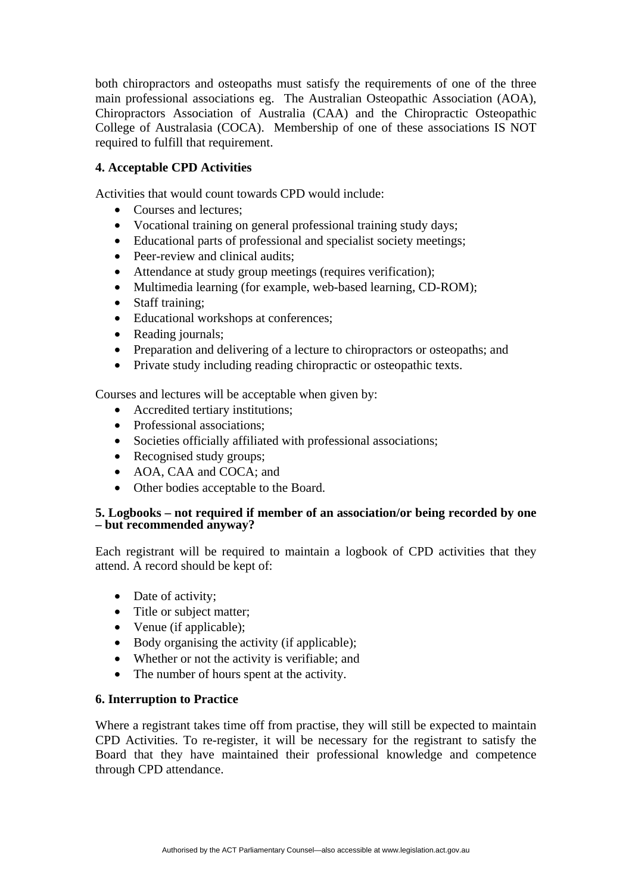both chiropractors and osteopaths must satisfy the requirements of one of the three main professional associations eg. The Australian Osteopathic Association (AOA), Chiropractors Association of Australia (CAA) and the Chiropractic Osteopathic College of Australasia (COCA). Membership of one of these associations IS NOT required to fulfill that requirement.

#### **4. Acceptable CPD Activities**

Activities that would count towards CPD would include:

- Courses and lectures:
- Vocational training on general professional training study days;
- Educational parts of professional and specialist society meetings;
- Peer-review and clinical audits:
- Attendance at study group meetings (requires verification);
- Multimedia learning (for example, web-based learning, CD-ROM);
- Staff training:
- Educational workshops at conferences;
- Reading journals;
- Preparation and delivering of a lecture to chiropractors or osteopaths; and
- Private study including reading chiropractic or osteopathic texts.

Courses and lectures will be acceptable when given by:

- Accredited tertiary institutions;
- Professional associations:
- Societies officially affiliated with professional associations;
- Recognised study groups;
- AOA, CAA and COCA; and
- Other bodies acceptable to the Board.

#### **5. Logbooks – not required if member of an association/or being recorded by one – but recommended anyway?**

Each registrant will be required to maintain a logbook of CPD activities that they attend. A record should be kept of:

- Date of activity;
- Title or subject matter;
- Venue (if applicable);
- Body organising the activity (if applicable);
- Whether or not the activity is verifiable; and
- The number of hours spent at the activity.

#### **6. Interruption to Practice**

Where a registrant takes time off from practise, they will still be expected to maintain CPD Activities. To re-register, it will be necessary for the registrant to satisfy the Board that they have maintained their professional knowledge and competence through CPD attendance.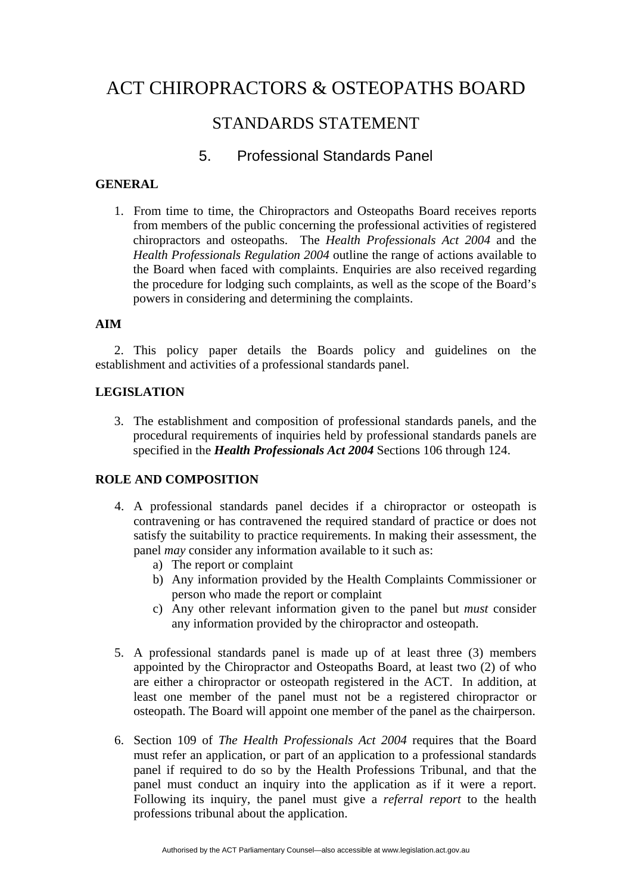## STANDARDS STATEMENT

### 5. Professional Standards Panel

#### **GENERAL**

1. From time to time, the Chiropractors and Osteopaths Board receives reports from members of the public concerning the professional activities of registered chiropractors and osteopaths. The *Health Professionals Act 2004* and the *Health Professionals Regulation 2004* outline the range of actions available to the Board when faced with complaints. Enquiries are also received regarding the procedure for lodging such complaints, as well as the scope of the Board's powers in considering and determining the complaints.

#### **AIM**

2. This policy paper details the Boards policy and guidelines on the establishment and activities of a professional standards panel.

#### **LEGISLATION**

3. The establishment and composition of professional standards panels, and the procedural requirements of inquiries held by professional standards panels are specified in the *Health Professionals Act 2004* Sections 106 through 124.

#### **ROLE AND COMPOSITION**

- 4. A professional standards panel decides if a chiropractor or osteopath is contravening or has contravened the required standard of practice or does not satisfy the suitability to practice requirements. In making their assessment, the panel *may* consider any information available to it such as:
	- a) The report or complaint
	- b) Any information provided by the Health Complaints Commissioner or person who made the report or complaint
	- c) Any other relevant information given to the panel but *must* consider any information provided by the chiropractor and osteopath.
- 5. A professional standards panel is made up of at least three (3) members appointed by the Chiropractor and Osteopaths Board, at least two (2) of who are either a chiropractor or osteopath registered in the ACT. In addition, at least one member of the panel must not be a registered chiropractor or osteopath. The Board will appoint one member of the panel as the chairperson.
- 6. Section 109 of *The Health Professionals Act 2004* requires that the Board must refer an application, or part of an application to a professional standards panel if required to do so by the Health Professions Tribunal, and that the panel must conduct an inquiry into the application as if it were a report. Following its inquiry, the panel must give a *referral report* to the health professions tribunal about the application.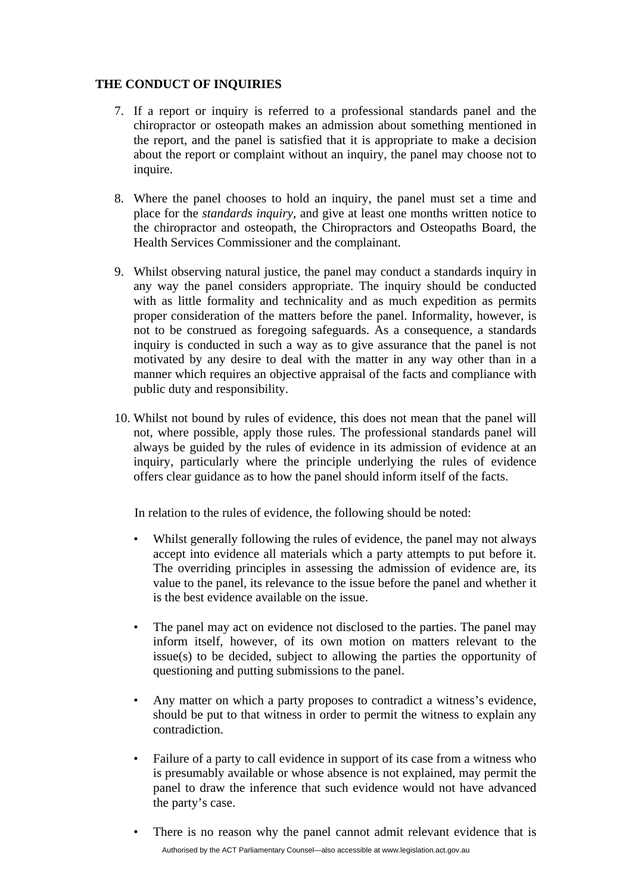#### **THE CONDUCT OF INQUIRIES**

- 7. If a report or inquiry is referred to a professional standards panel and the chiropractor or osteopath makes an admission about something mentioned in the report, and the panel is satisfied that it is appropriate to make a decision about the report or complaint without an inquiry, the panel may choose not to inquire.
- 8. Where the panel chooses to hold an inquiry, the panel must set a time and place for the *standards inquiry*, and give at least one months written notice to the chiropractor and osteopath, the Chiropractors and Osteopaths Board, the Health Services Commissioner and the complainant.
- 9. Whilst observing natural justice, the panel may conduct a standards inquiry in any way the panel considers appropriate. The inquiry should be conducted with as little formality and technicality and as much expedition as permits proper consideration of the matters before the panel. Informality, however, is not to be construed as foregoing safeguards. As a consequence, a standards inquiry is conducted in such a way as to give assurance that the panel is not motivated by any desire to deal with the matter in any way other than in a manner which requires an objective appraisal of the facts and compliance with public duty and responsibility.
- 10. Whilst not bound by rules of evidence, this does not mean that the panel will not, where possible, apply those rules. The professional standards panel will always be guided by the rules of evidence in its admission of evidence at an inquiry, particularly where the principle underlying the rules of evidence offers clear guidance as to how the panel should inform itself of the facts.

In relation to the rules of evidence, the following should be noted:

- Whilst generally following the rules of evidence, the panel may not always accept into evidence all materials which a party attempts to put before it. The overriding principles in assessing the admission of evidence are, its value to the panel, its relevance to the issue before the panel and whether it is the best evidence available on the issue.
- The panel may act on evidence not disclosed to the parties. The panel may inform itself, however, of its own motion on matters relevant to the issue(s) to be decided, subject to allowing the parties the opportunity of questioning and putting submissions to the panel.
- Any matter on which a party proposes to contradict a witness's evidence, should be put to that witness in order to permit the witness to explain any contradiction.
- Failure of a party to call evidence in support of its case from a witness who is presumably available or whose absence is not explained, may permit the panel to draw the inference that such evidence would not have advanced the party's case.
- Authorised by the ACT Parliamentary Counsel—also accessible at www.legislation.act.gov.au There is no reason why the panel cannot admit relevant evidence that is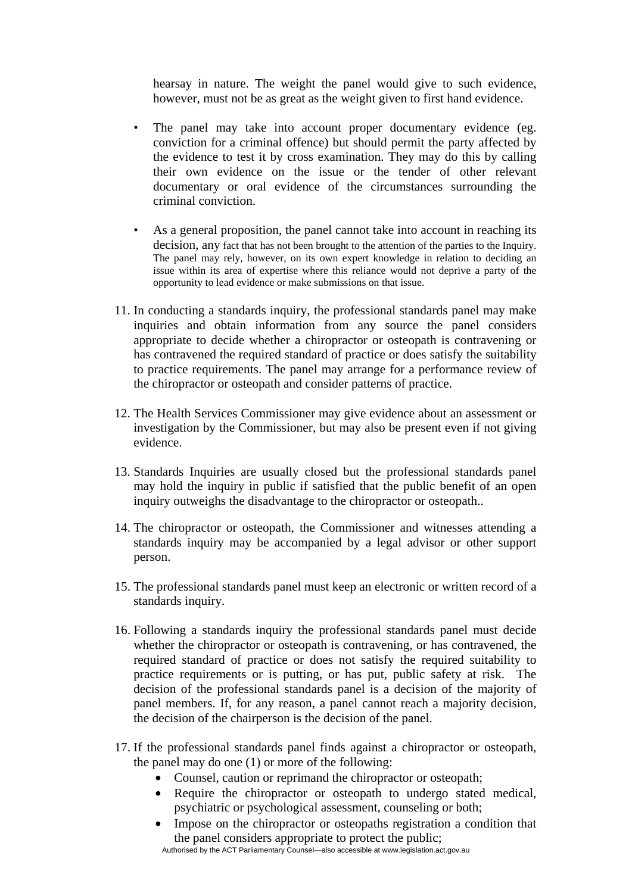hearsay in nature. The weight the panel would give to such evidence, however, must not be as great as the weight given to first hand evidence.

- The panel may take into account proper documentary evidence (eg. conviction for a criminal offence) but should permit the party affected by the evidence to test it by cross examination. They may do this by calling their own evidence on the issue or the tender of other relevant documentary or oral evidence of the circumstances surrounding the criminal conviction.
- As a general proposition, the panel cannot take into account in reaching its decision, any fact that has not been brought to the attention of the parties to the Inquiry. The panel may rely, however, on its own expert knowledge in relation to deciding an issue within its area of expertise where this reliance would not deprive a party of the opportunity to lead evidence or make submissions on that issue.
- 11. In conducting a standards inquiry, the professional standards panel may make inquiries and obtain information from any source the panel considers appropriate to decide whether a chiropractor or osteopath is contravening or has contravened the required standard of practice or does satisfy the suitability to practice requirements. The panel may arrange for a performance review of the chiropractor or osteopath and consider patterns of practice.
- 12. The Health Services Commissioner may give evidence about an assessment or investigation by the Commissioner, but may also be present even if not giving evidence.
- 13. Standards Inquiries are usually closed but the professional standards panel may hold the inquiry in public if satisfied that the public benefit of an open inquiry outweighs the disadvantage to the chiropractor or osteopath..
- 14. The chiropractor or osteopath, the Commissioner and witnesses attending a standards inquiry may be accompanied by a legal advisor or other support person.
- 15. The professional standards panel must keep an electronic or written record of a standards inquiry.
- 16. Following a standards inquiry the professional standards panel must decide whether the chiropractor or osteopath is contravening, or has contravened, the required standard of practice or does not satisfy the required suitability to practice requirements or is putting, or has put, public safety at risk. The decision of the professional standards panel is a decision of the majority of panel members. If, for any reason, a panel cannot reach a majority decision, the decision of the chairperson is the decision of the panel.
- 17. If the professional standards panel finds against a chiropractor or osteopath, the panel may do one (1) or more of the following:
	- Counsel, caution or reprimand the chiropractor or osteopath;
	- Require the chiropractor or osteopath to undergo stated medical, psychiatric or psychological assessment, counseling or both;
	- Impose on the chiropractor or osteopaths registration a condition that the panel considers appropriate to protect the public;

Authorised by the ACT Parliamentary Counsel—also accessible at www.legislation.act.gov.au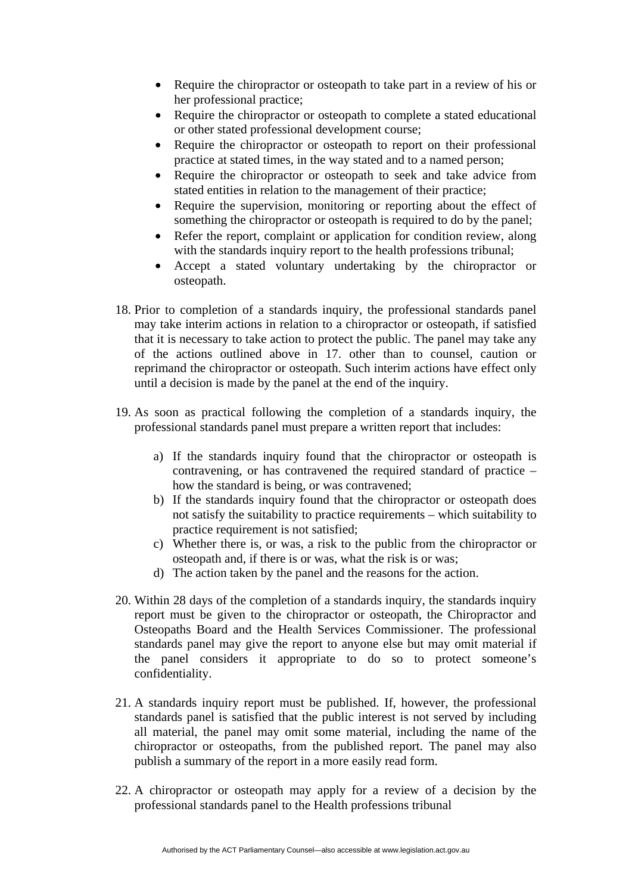- Require the chiropractor or osteopath to take part in a review of his or her professional practice;
- Require the chiropractor or osteopath to complete a stated educational or other stated professional development course;
- Require the chiropractor or osteopath to report on their professional practice at stated times, in the way stated and to a named person;
- Require the chiropractor or osteopath to seek and take advice from stated entities in relation to the management of their practice;
- Require the supervision, monitoring or reporting about the effect of something the chiropractor or osteopath is required to do by the panel;
- Refer the report, complaint or application for condition review, along with the standards inquiry report to the health professions tribunal;
- Accept a stated voluntary undertaking by the chiropractor or osteopath.
- 18. Prior to completion of a standards inquiry, the professional standards panel may take interim actions in relation to a chiropractor or osteopath, if satisfied that it is necessary to take action to protect the public. The panel may take any of the actions outlined above in 17. other than to counsel, caution or reprimand the chiropractor or osteopath. Such interim actions have effect only until a decision is made by the panel at the end of the inquiry.
- 19. As soon as practical following the completion of a standards inquiry, the professional standards panel must prepare a written report that includes:
	- a) If the standards inquiry found that the chiropractor or osteopath is contravening, or has contravened the required standard of practice – how the standard is being, or was contravened;
	- b) If the standards inquiry found that the chiropractor or osteopath does not satisfy the suitability to practice requirements – which suitability to practice requirement is not satisfied;
	- c) Whether there is, or was, a risk to the public from the chiropractor or osteopath and, if there is or was, what the risk is or was;
	- d) The action taken by the panel and the reasons for the action.
- 20. Within 28 days of the completion of a standards inquiry, the standards inquiry report must be given to the chiropractor or osteopath, the Chiropractor and Osteopaths Board and the Health Services Commissioner. The professional standards panel may give the report to anyone else but may omit material if the panel considers it appropriate to do so to protect someone's confidentiality.
- 21. A standards inquiry report must be published. If, however, the professional standards panel is satisfied that the public interest is not served by including all material, the panel may omit some material, including the name of the chiropractor or osteopaths, from the published report. The panel may also publish a summary of the report in a more easily read form.
- 22. A chiropractor or osteopath may apply for a review of a decision by the professional standards panel to the Health professions tribunal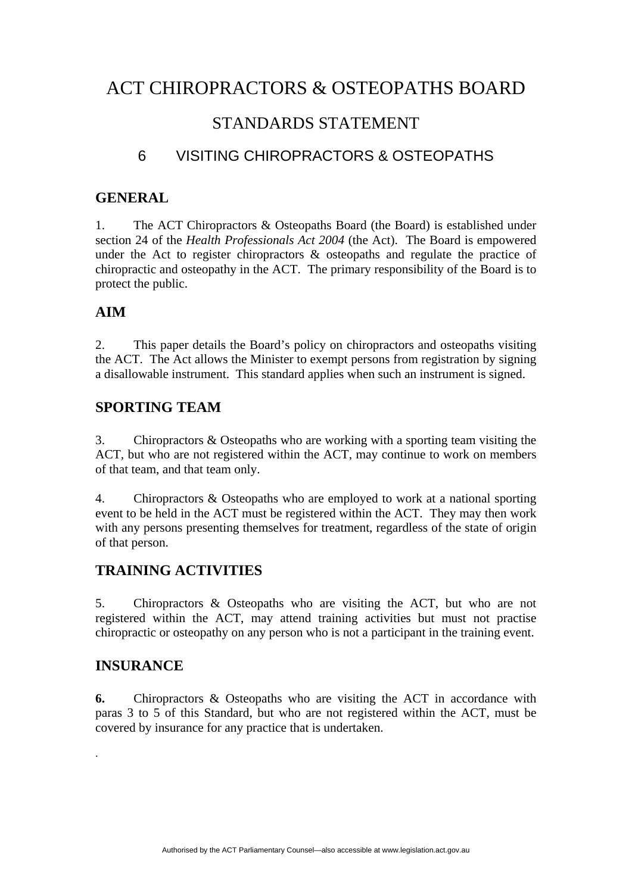## STANDARDS STATEMENT

## 6 VISITING CHIROPRACTORS & OSTEOPATHS

#### **GENERAL**

1. The ACT Chiropractors & Osteopaths Board (the Board) is established under section 24 of the *Health Professionals Act 2004* (the Act). The Board is empowered under the Act to register chiropractors  $\&$  osteopaths and regulate the practice of chiropractic and osteopathy in the ACT. The primary responsibility of the Board is to protect the public.

### **AIM**

2. This paper details the Board's policy on chiropractors and osteopaths visiting the ACT. The Act allows the Minister to exempt persons from registration by signing a disallowable instrument. This standard applies when such an instrument is signed.

### **SPORTING TEAM**

3. Chiropractors & Osteopaths who are working with a sporting team visiting the ACT, but who are not registered within the ACT, may continue to work on members of that team, and that team only.

4. Chiropractors & Osteopaths who are employed to work at a national sporting event to be held in the ACT must be registered within the ACT. They may then work with any persons presenting themselves for treatment, regardless of the state of origin of that person.

### **TRAINING ACTIVITIES**

5. Chiropractors & Osteopaths who are visiting the ACT, but who are not registered within the ACT, may attend training activities but must not practise chiropractic or osteopathy on any person who is not a participant in the training event.

#### **INSURANCE**

.

**6.** Chiropractors & Osteopaths who are visiting the ACT in accordance with paras 3 to 5 of this Standard, but who are not registered within the ACT, must be covered by insurance for any practice that is undertaken.